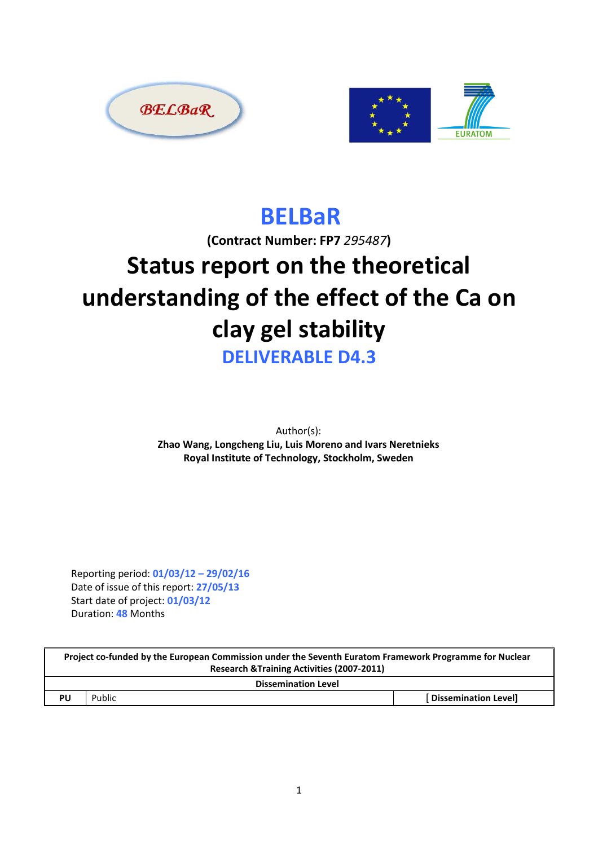



# BELBaR

(Contract Number: FP7 295487)

# Status report on the theoretical understanding of the effect of the Ca on clay gel stability

DELIVERABLE D4.3

Author(s): Zhao Wang, Longcheng Liu, Luis Moreno and Ivars Neretnieks Royal Institute of Technology, Stockholm, Sweden

Reporting period: 01/03/12 – 29/02/16 Date of issue of this report: 27/05/13 Start date of project: 01/03/12 Duration: 48 Months

| Project co-funded by the European Commission under the Seventh Euratom Framework Programme for Nuclear |        |                             |  |  |
|--------------------------------------------------------------------------------------------------------|--------|-----------------------------|--|--|
| Research & Training Activities (2007-2011)                                                             |        |                             |  |  |
| <b>Dissemination Level</b>                                                                             |        |                             |  |  |
| PU                                                                                                     | Public | <b>Dissemination Level]</b> |  |  |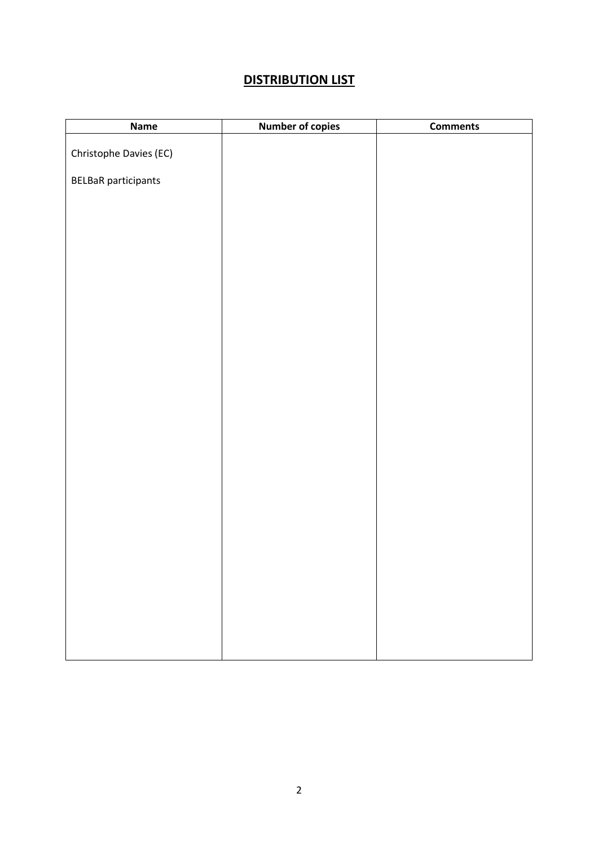#### **DISTRIBUTION LIST**

| Name                       | <b>Number of copies</b> | <b>Comments</b> |
|----------------------------|-------------------------|-----------------|
| Christophe Davies (EC)     |                         |                 |
|                            |                         |                 |
| <b>BELBaR</b> participants |                         |                 |
|                            |                         |                 |
|                            |                         |                 |
|                            |                         |                 |
|                            |                         |                 |
|                            |                         |                 |
|                            |                         |                 |
|                            |                         |                 |
|                            |                         |                 |
|                            |                         |                 |
|                            |                         |                 |
|                            |                         |                 |
|                            |                         |                 |
|                            |                         |                 |
|                            |                         |                 |
|                            |                         |                 |
|                            |                         |                 |
|                            |                         |                 |
|                            |                         |                 |
|                            |                         |                 |
|                            |                         |                 |
|                            |                         |                 |
|                            |                         |                 |
|                            |                         |                 |
|                            |                         |                 |
|                            |                         |                 |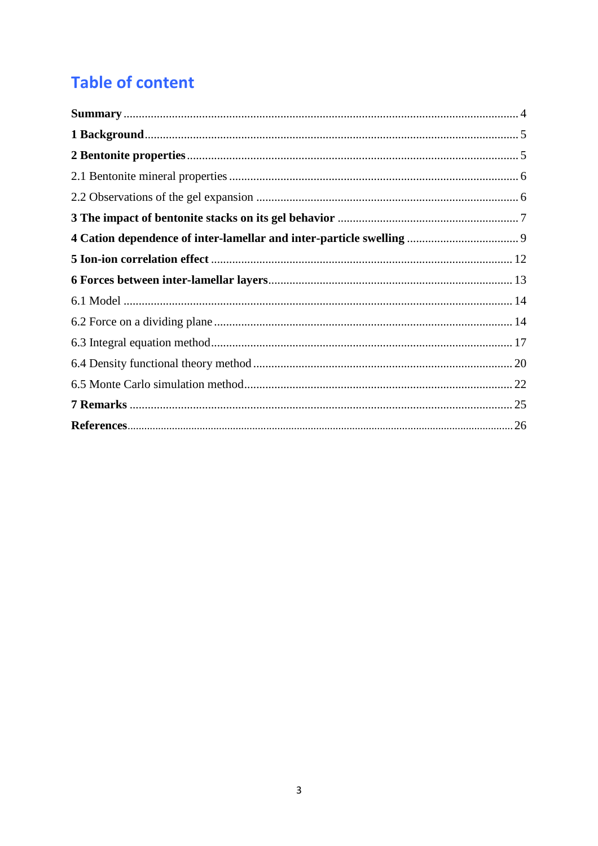# **Table of content**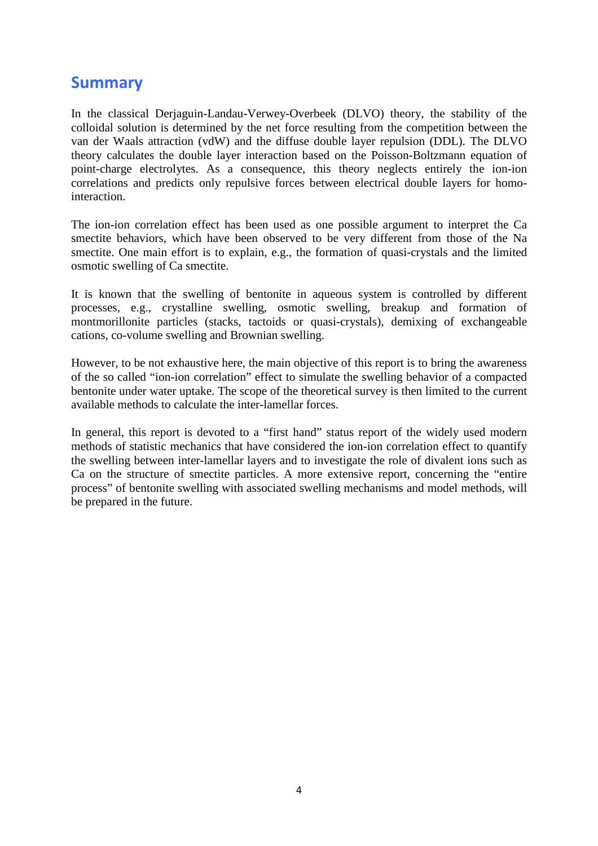### Summary

In the classical Derjaguin-Landau-Verwey-Overbeek (DLVO) theory, the stability of the colloidal solution is determined by the net force resulting from the competition between the van der Waals attraction (vdW) and the diffuse double layer repulsion (DDL). The DLVO theory calculates the double layer interaction based on the Poisson-Boltzmann equation of point-charge electrolytes. As a consequence, this theory neglects entirely the ion-ion correlations and predicts only repulsive forces between electrical double layers for homointeraction.

The ion-ion correlation effect has been used as one possible argument to interpret the Ca smectite behaviors, which have been observed to be very different from those of the Na smectite. One main effort is to explain, e.g., the formation of quasi-crystals and the limited osmotic swelling of Ca smectite.

It is known that the swelling of bentonite in aqueous system is controlled by different processes, e.g., crystalline swelling, osmotic swelling, breakup and formation of montmorillonite particles (stacks, tactoids or quasi-crystals), demixing of exchangeable cations, co-volume swelling and Brownian swelling.

However, to be not exhaustive here, the main objective of this report is to bring the awareness of the so called "ion-ion correlation" effect to simulate the swelling behavior of a compacted bentonite under water uptake. The scope of the theoretical survey is then limited to the current available methods to calculate the inter-lamellar forces.

In general, this report is devoted to a "first hand" status report of the widely used modern methods of statistic mechanics that have considered the ion-ion correlation effect to quantify the swelling between inter-lamellar layers and to investigate the role of divalent ions such as Ca on the structure of smectite particles. A more extensive report, concerning the "entire process" of bentonite swelling with associated swelling mechanisms and model methods, will be prepared in the future.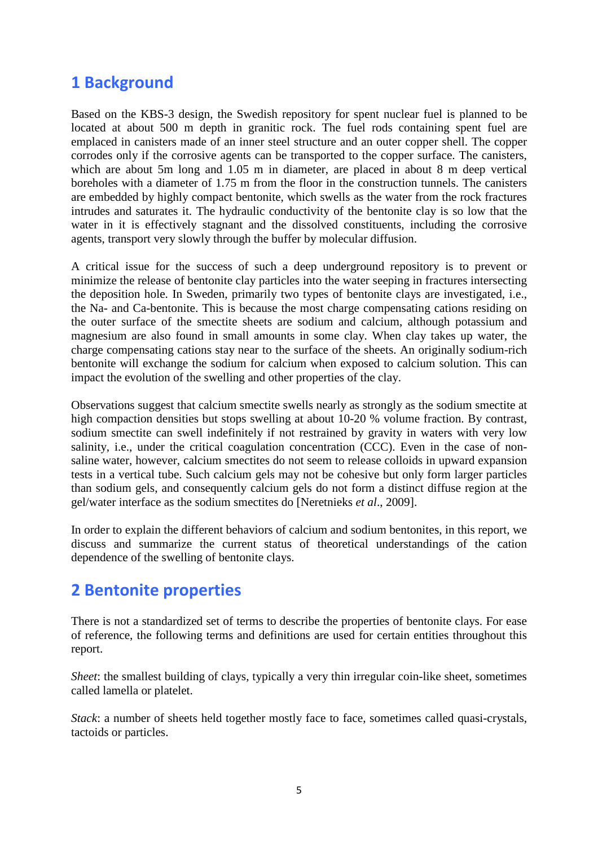### 1 Background

Based on the KBS-3 design, the Swedish repository for spent nuclear fuel is planned to be located at about 500 m depth in granitic rock. The fuel rods containing spent fuel are emplaced in canisters made of an inner steel structure and an outer copper shell. The copper corrodes only if the corrosive agents can be transported to the copper surface. The canisters, which are about 5m long and 1.05 m in diameter, are placed in about 8 m deep vertical boreholes with a diameter of 1.75 m from the floor in the construction tunnels. The canisters are embedded by highly compact bentonite, which swells as the water from the rock fractures intrudes and saturates it. The hydraulic conductivity of the bentonite clay is so low that the water in it is effectively stagnant and the dissolved constituents, including the corrosive agents, transport very slowly through the buffer by molecular diffusion.

A critical issue for the success of such a deep underground repository is to prevent or minimize the release of bentonite clay particles into the water seeping in fractures intersecting the deposition hole. In Sweden, primarily two types of bentonite clays are investigated, i.e., the Na- and Ca-bentonite. This is because the most charge compensating cations residing on the outer surface of the smectite sheets are sodium and calcium, although potassium and magnesium are also found in small amounts in some clay. When clay takes up water, the charge compensating cations stay near to the surface of the sheets. An originally sodium-rich bentonite will exchange the sodium for calcium when exposed to calcium solution. This can impact the evolution of the swelling and other properties of the clay.

Observations suggest that calcium smectite swells nearly as strongly as the sodium smectite at high compaction densities but stops swelling at about 10-20 % volume fraction. By contrast, sodium smectite can swell indefinitely if not restrained by gravity in waters with very low salinity, i.e., under the critical coagulation concentration (CCC). Even in the case of nonsaline water, however, calcium smectites do not seem to release colloids in upward expansion tests in a vertical tube. Such calcium gels may not be cohesive but only form larger particles than sodium gels, and consequently calcium gels do not form a distinct diffuse region at the gel/water interface as the sodium smectites do [Neretnieks *et al*., 2009].

In order to explain the different behaviors of calcium and sodium bentonites, in this report, we discuss and summarize the current status of theoretical understandings of the cation dependence of the swelling of bentonite clays.

# 2 Bentonite properties

There is not a standardized set of terms to describe the properties of bentonite clays. For ease of reference, the following terms and definitions are used for certain entities throughout this report.

*Sheet*: the smallest building of clays, typically a very thin irregular coin-like sheet, sometimes called lamella or platelet.

*Stack*: a number of sheets held together mostly face to face, sometimes called quasi-crystals, tactoids or particles.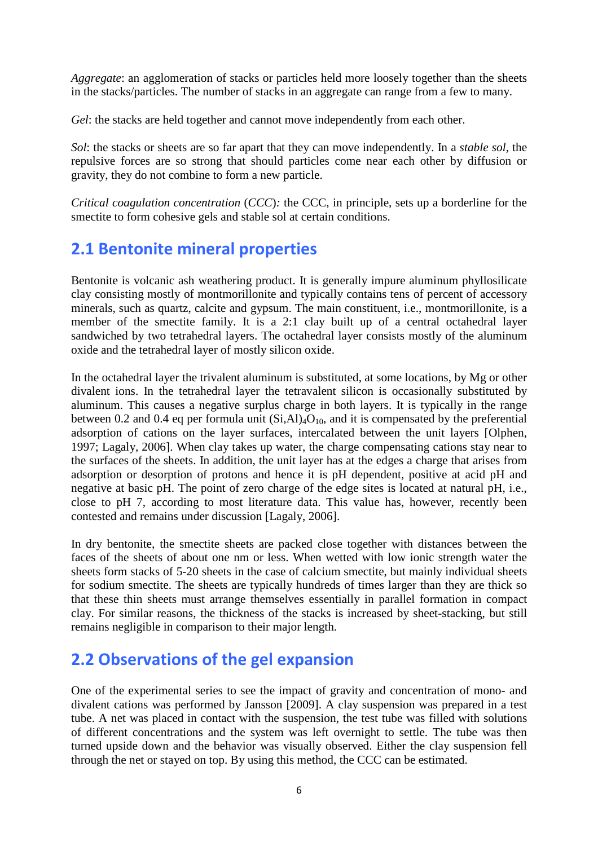*Aggregate*: an agglomeration of stacks or particles held more loosely together than the sheets in the stacks/particles. The number of stacks in an aggregate can range from a few to many.

*Gel*: the stacks are held together and cannot move independently from each other.

*Sol*: the stacks or sheets are so far apart that they can move independently. In a *stable sol*, the repulsive forces are so strong that should particles come near each other by diffusion or gravity, they do not combine to form a new particle.

*Critical coagulation concentration* (*CCC*)*:* the CCC, in principle, sets up a borderline for the smectite to form cohesive gels and stable sol at certain conditions.

# 2.1 Bentonite mineral properties

Bentonite is volcanic ash weathering product. It is generally impure aluminum phyllosilicate clay consisting mostly of montmorillonite and typically contains tens of percent of accessory minerals, such as quartz, calcite and gypsum. The main constituent, i.e., montmorillonite, is a member of the smectite family. It is a 2:1 clay built up of a central octahedral layer sandwiched by two tetrahedral layers. The octahedral layer consists mostly of the aluminum oxide and the tetrahedral layer of mostly silicon oxide.

In the octahedral layer the trivalent aluminum is substituted, at some locations, by Mg or other divalent ions. In the tetrahedral layer the tetravalent silicon is occasionally substituted by aluminum. This causes a negative surplus charge in both layers. It is typically in the range between 0.2 and 0.4 eq per formula unit  $(Si, A1)_4O_{10}$ , and it is compensated by the preferential adsorption of cations on the layer surfaces, intercalated between the unit layers [Olphen, 1997; Lagaly, 2006]. When clay takes up water, the charge compensating cations stay near to the surfaces of the sheets. In addition, the unit layer has at the edges a charge that arises from adsorption or desorption of protons and hence it is pH dependent, positive at acid pH and negative at basic pH. The point of zero charge of the edge sites is located at natural pH, i.e., close to pH 7, according to most literature data. This value has, however, recently been contested and remains under discussion [Lagaly, 2006].

In dry bentonite, the smectite sheets are packed close together with distances between the faces of the sheets of about one nm or less. When wetted with low ionic strength water the sheets form stacks of 5-20 sheets in the case of calcium smectite, but mainly individual sheets for sodium smectite. The sheets are typically hundreds of times larger than they are thick so that these thin sheets must arrange themselves essentially in parallel formation in compact clay. For similar reasons, the thickness of the stacks is increased by sheet-stacking, but still remains negligible in comparison to their major length.

# 2.2 Observations of the gel expansion

One of the experimental series to see the impact of gravity and concentration of mono- and divalent cations was performed by Jansson [2009]. A clay suspension was prepared in a test tube. A net was placed in contact with the suspension, the test tube was filled with solutions of different concentrations and the system was left overnight to settle. The tube was then turned upside down and the behavior was visually observed. Either the clay suspension fell through the net or stayed on top. By using this method, the CCC can be estimated.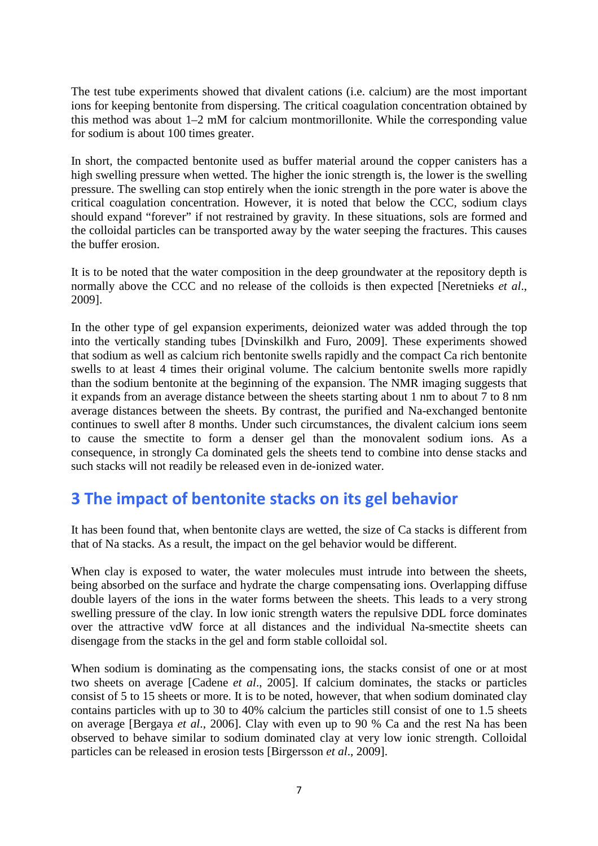The test tube experiments showed that divalent cations (i.e. calcium) are the most important ions for keeping bentonite from dispersing. The critical coagulation concentration obtained by this method was about 1–2 mM for calcium montmorillonite. While the corresponding value for sodium is about 100 times greater.

In short, the compacted bentonite used as buffer material around the copper canisters has a high swelling pressure when wetted. The higher the ionic strength is, the lower is the swelling pressure. The swelling can stop entirely when the ionic strength in the pore water is above the critical coagulation concentration. However, it is noted that below the CCC, sodium clays should expand "forever" if not restrained by gravity. In these situations, sols are formed and the colloidal particles can be transported away by the water seeping the fractures. This causes the buffer erosion.

It is to be noted that the water composition in the deep groundwater at the repository depth is normally above the CCC and no release of the colloids is then expected [Neretnieks *et al*., 2009].

In the other type of gel expansion experiments, deionized water was added through the top into the vertically standing tubes [Dvinskilkh and Furo, 2009]. These experiments showed that sodium as well as calcium rich bentonite swells rapidly and the compact Ca rich bentonite swells to at least 4 times their original volume. The calcium bentonite swells more rapidly than the sodium bentonite at the beginning of the expansion. The NMR imaging suggests that it expands from an average distance between the sheets starting about 1 nm to about 7 to 8 nm average distances between the sheets. By contrast, the purified and Na-exchanged bentonite continues to swell after 8 months. Under such circumstances, the divalent calcium ions seem to cause the smectite to form a denser gel than the monovalent sodium ions. As a consequence, in strongly Ca dominated gels the sheets tend to combine into dense stacks and such stacks will not readily be released even in de-ionized water.

### 3 The impact of bentonite stacks on its gel behavior

It has been found that, when bentonite clays are wetted, the size of Ca stacks is different from that of Na stacks. As a result, the impact on the gel behavior would be different.

When clay is exposed to water, the water molecules must intrude into between the sheets, being absorbed on the surface and hydrate the charge compensating ions. Overlapping diffuse double layers of the ions in the water forms between the sheets. This leads to a very strong swelling pressure of the clay. In low ionic strength waters the repulsive DDL force dominates over the attractive vdW force at all distances and the individual Na-smectite sheets can disengage from the stacks in the gel and form stable colloidal sol.

When sodium is dominating as the compensating ions, the stacks consist of one or at most two sheets on average [Cadene *et al*., 2005]. If calcium dominates, the stacks or particles consist of 5 to 15 sheets or more. It is to be noted, however, that when sodium dominated clay contains particles with up to 30 to 40% calcium the particles still consist of one to 1.5 sheets on average [Bergaya *et al*., 2006]. Clay with even up to 90 % Ca and the rest Na has been observed to behave similar to sodium dominated clay at very low ionic strength. Colloidal particles can be released in erosion tests [Birgersson *et al*., 2009].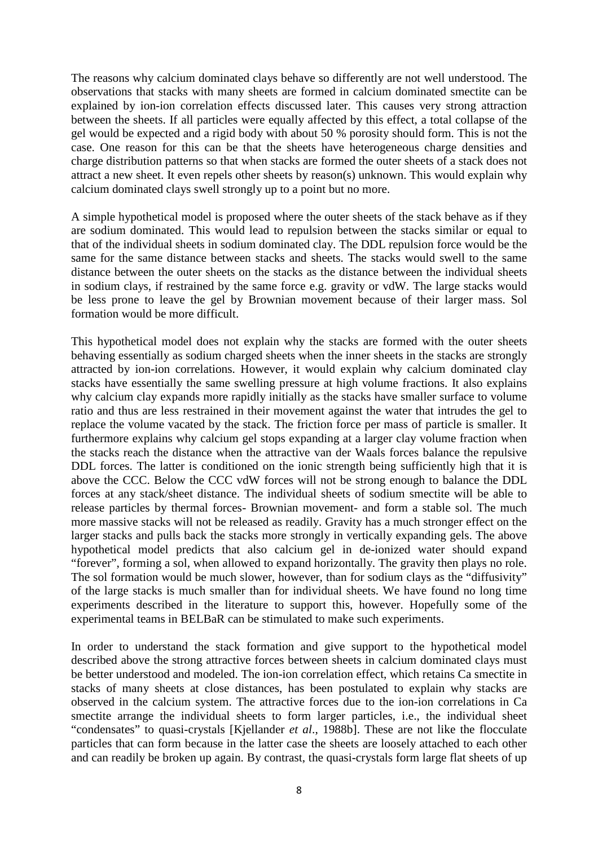The reasons why calcium dominated clays behave so differently are not well understood. The observations that stacks with many sheets are formed in calcium dominated smectite can be explained by ion-ion correlation effects discussed later. This causes very strong attraction between the sheets. If all particles were equally affected by this effect, a total collapse of the gel would be expected and a rigid body with about 50 % porosity should form. This is not the case. One reason for this can be that the sheets have heterogeneous charge densities and charge distribution patterns so that when stacks are formed the outer sheets of a stack does not attract a new sheet. It even repels other sheets by reason(s) unknown. This would explain why calcium dominated clays swell strongly up to a point but no more.

A simple hypothetical model is proposed where the outer sheets of the stack behave as if they are sodium dominated. This would lead to repulsion between the stacks similar or equal to that of the individual sheets in sodium dominated clay. The DDL repulsion force would be the same for the same distance between stacks and sheets. The stacks would swell to the same distance between the outer sheets on the stacks as the distance between the individual sheets in sodium clays, if restrained by the same force e.g. gravity or vdW. The large stacks would be less prone to leave the gel by Brownian movement because of their larger mass. Sol formation would be more difficult.

This hypothetical model does not explain why the stacks are formed with the outer sheets behaving essentially as sodium charged sheets when the inner sheets in the stacks are strongly attracted by ion-ion correlations. However, it would explain why calcium dominated clay stacks have essentially the same swelling pressure at high volume fractions. It also explains why calcium clay expands more rapidly initially as the stacks have smaller surface to volume ratio and thus are less restrained in their movement against the water that intrudes the gel to replace the volume vacated by the stack. The friction force per mass of particle is smaller. It furthermore explains why calcium gel stops expanding at a larger clay volume fraction when the stacks reach the distance when the attractive van der Waals forces balance the repulsive DDL forces. The latter is conditioned on the ionic strength being sufficiently high that it is above the CCC. Below the CCC vdW forces will not be strong enough to balance the DDL forces at any stack/sheet distance. The individual sheets of sodium smectite will be able to release particles by thermal forces- Brownian movement- and form a stable sol. The much more massive stacks will not be released as readily. Gravity has a much stronger effect on the larger stacks and pulls back the stacks more strongly in vertically expanding gels. The above hypothetical model predicts that also calcium gel in de-ionized water should expand "forever", forming a sol, when allowed to expand horizontally. The gravity then plays no role. The sol formation would be much slower, however, than for sodium clays as the "diffusivity" of the large stacks is much smaller than for individual sheets. We have found no long time experiments described in the literature to support this, however. Hopefully some of the experimental teams in BELBaR can be stimulated to make such experiments.

In order to understand the stack formation and give support to the hypothetical model described above the strong attractive forces between sheets in calcium dominated clays must be better understood and modeled. The ion-ion correlation effect, which retains Ca smectite in stacks of many sheets at close distances, has been postulated to explain why stacks are observed in the calcium system. The attractive forces due to the ion-ion correlations in Ca smectite arrange the individual sheets to form larger particles, i.e., the individual sheet "condensates" to quasi-crystals [Kjellander *et al*., 1988b]. These are not like the flocculate particles that can form because in the latter case the sheets are loosely attached to each other and can readily be broken up again. By contrast, the quasi-crystals form large flat sheets of up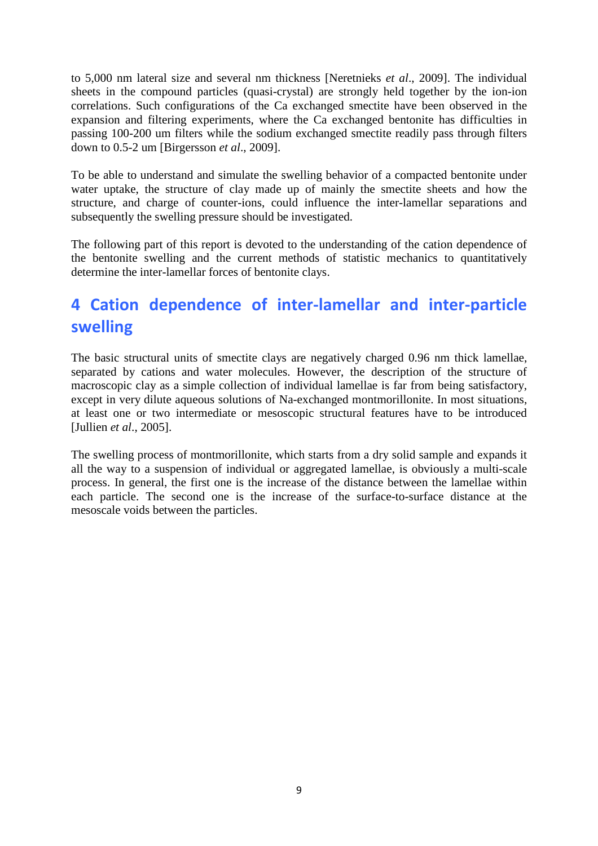to 5,000 nm lateral size and several nm thickness [Neretnieks *et al*., 2009]. The individual sheets in the compound particles (quasi-crystal) are strongly held together by the ion-ion correlations. Such configurations of the Ca exchanged smectite have been observed in the expansion and filtering experiments, where the Ca exchanged bentonite has difficulties in passing 100-200 um filters while the sodium exchanged smectite readily pass through filters down to 0.5-2 um [Birgersson *et al*., 2009].

To be able to understand and simulate the swelling behavior of a compacted bentonite under water uptake, the structure of clay made up of mainly the smectite sheets and how the structure, and charge of counter-ions, could influence the inter-lamellar separations and subsequently the swelling pressure should be investigated.

The following part of this report is devoted to the understanding of the cation dependence of the bentonite swelling and the current methods of statistic mechanics to quantitatively determine the inter-lamellar forces of bentonite clays.

# 4 Cation dependence of inter-lamellar and inter-particle swelling

The basic structural units of smectite clays are negatively charged 0.96 nm thick lamellae, separated by cations and water molecules. However, the description of the structure of macroscopic clay as a simple collection of individual lamellae is far from being satisfactory, except in very dilute aqueous solutions of Na-exchanged montmorillonite. In most situations, at least one or two intermediate or mesoscopic structural features have to be introduced [Jullien *et al*., 2005].

The swelling process of montmorillonite, which starts from a dry solid sample and expands it all the way to a suspension of individual or aggregated lamellae, is obviously a multi-scale process. In general, the first one is the increase of the distance between the lamellae within each particle. The second one is the increase of the surface-to-surface distance at the mesoscale voids between the particles.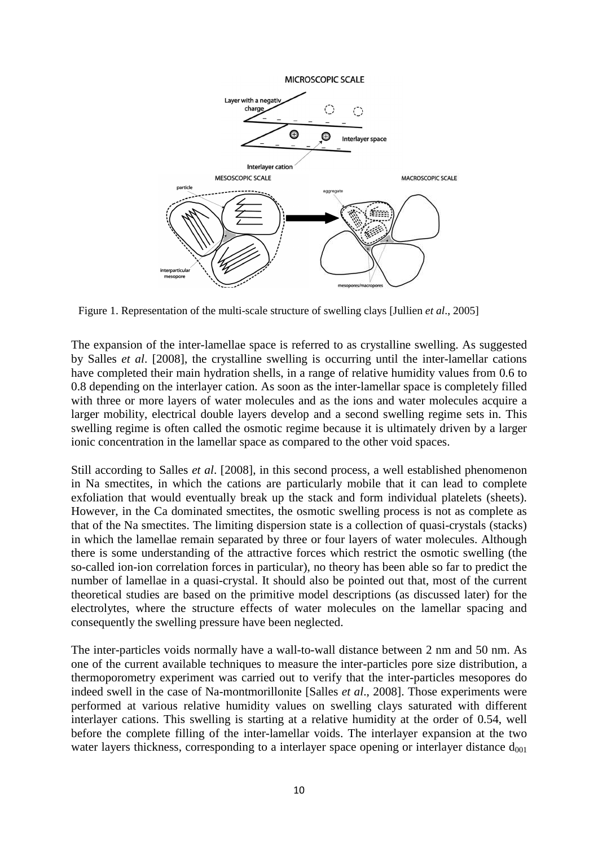

Figure 1. Representation of the multi-scale structure of swelling clays [Jullien *et al*., 2005]

The expansion of the inter-lamellae space is referred to as crystalline swelling. As suggested by Salles *et al*. [2008], the crystalline swelling is occurring until the inter-lamellar cations have completed their main hydration shells, in a range of relative humidity values from 0.6 to 0.8 depending on the interlayer cation. As soon as the inter-lamellar space is completely filled with three or more layers of water molecules and as the ions and water molecules acquire a larger mobility, electrical double layers develop and a second swelling regime sets in. This swelling regime is often called the osmotic regime because it is ultimately driven by a larger ionic concentration in the lamellar space as compared to the other void spaces.

Still according to Salles *et al*. [2008], in this second process, a well established phenomenon in Na smectites, in which the cations are particularly mobile that it can lead to complete exfoliation that would eventually break up the stack and form individual platelets (sheets). However, in the Ca dominated smectites, the osmotic swelling process is not as complete as that of the Na smectites. The limiting dispersion state is a collection of quasi-crystals (stacks) in which the lamellae remain separated by three or four layers of water molecules. Although there is some understanding of the attractive forces which restrict the osmotic swelling (the so-called ion-ion correlation forces in particular), no theory has been able so far to predict the number of lamellae in a quasi-crystal. It should also be pointed out that, most of the current theoretical studies are based on the primitive model descriptions (as discussed later) for the electrolytes, where the structure effects of water molecules on the lamellar spacing and consequently the swelling pressure have been neglected.

The inter-particles voids normally have a wall-to-wall distance between 2 nm and 50 nm. As one of the current available techniques to measure the inter-particles pore size distribution, a thermoporometry experiment was carried out to verify that the inter-particles mesopores do indeed swell in the case of Na-montmorillonite [Salles *et al*., 2008]. Those experiments were performed at various relative humidity values on swelling clays saturated with different interlayer cations. This swelling is starting at a relative humidity at the order of 0.54, well before the complete filling of the inter-lamellar voids. The interlayer expansion at the two water layers thickness, corresponding to a interlayer space opening or interlayer distance  $d_{001}$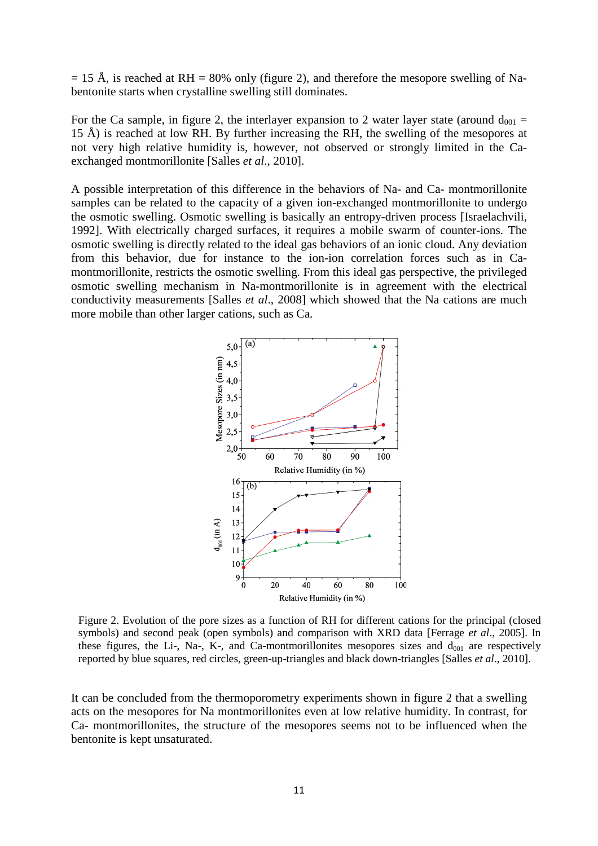$= 15$  Å, is reached at RH = 80% only (figure 2), and therefore the mesopore swelling of Nabentonite starts when crystalline swelling still dominates.

For the Ca sample, in figure 2, the interlayer expansion to 2 water layer state (around  $d_{001} =$  $15$  Å) is reached at low RH. By further increasing the RH, the swelling of the mesopores at not very high relative humidity is, however, not observed or strongly limited in the Caexchanged montmorillonite [Salles *et al*., 2010].

A possible interpretation of this difference in the behaviors of Na- and Ca- montmorillonite samples can be related to the capacity of a given ion-exchanged montmorillonite to undergo the osmotic swelling. Osmotic swelling is basically an entropy-driven process [Israelachvili, 1992]. With electrically charged surfaces, it requires a mobile swarm of counter-ions. The osmotic swelling is directly related to the ideal gas behaviors of an ionic cloud. Any deviation from this behavior, due for instance to the ion-ion correlation forces such as in Camontmorillonite, restricts the osmotic swelling. From this ideal gas perspective, the privileged osmotic swelling mechanism in Na-montmorillonite is in agreement with the electrical conductivity measurements [Salles *et al*., 2008] which showed that the Na cations are much more mobile than other larger cations, such as Ca.



Figure 2. Evolution of the pore sizes as a function of RH for different cations for the principal (closed symbols) and second peak (open symbols) and comparison with XRD data [Ferrage *et al*., 2005]. In these figures, the Li-, Na-, K-, and Ca-montmorillonites mesopores sizes and  $d_{001}$  are respectively reported by blue squares, red circles, green-up-triangles and black down-triangles [Salles *et al*., 2010].

It can be concluded from the thermoporometry experiments shown in figure 2 that a swelling acts on the mesopores for Na montmorillonites even at low relative humidity. In contrast, for Ca- montmorillonites, the structure of the mesopores seems not to be influenced when the bentonite is kept unsaturated.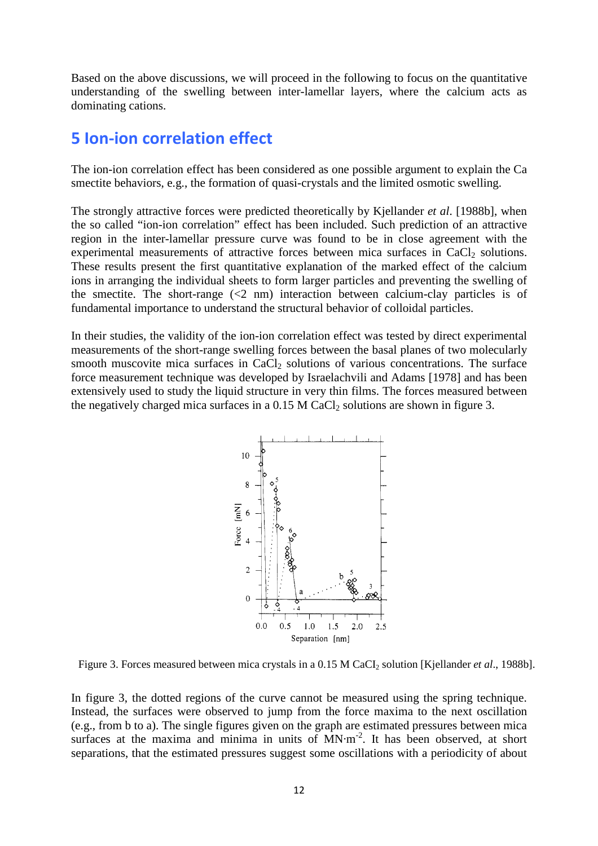Based on the above discussions, we will proceed in the following to focus on the quantitative understanding of the swelling between inter-lamellar layers, where the calcium acts as dominating cations.

### 5 Ion-ion correlation effect

The ion-ion correlation effect has been considered as one possible argument to explain the Ca smectite behaviors, e.g., the formation of quasi-crystals and the limited osmotic swelling.

The strongly attractive forces were predicted theoretically by Kjellander *et al*. [1988b], when the so called "ion-ion correlation" effect has been included. Such prediction of an attractive region in the inter-lamellar pressure curve was found to be in close agreement with the experimental measurements of attractive forces between mica surfaces in  $CaCl<sub>2</sub>$  solutions. These results present the first quantitative explanation of the marked effect of the calcium ions in arranging the individual sheets to form larger particles and preventing the swelling of the smectite. The short-range  $\langle 2 \text{ nm} \rangle$  interaction between calcium-clay particles is of fundamental importance to understand the structural behavior of colloidal particles.

In their studies, the validity of the ion-ion correlation effect was tested by direct experimental measurements of the short-range swelling forces between the basal planes of two molecularly smooth muscovite mica surfaces in CaCl<sub>2</sub> solutions of various concentrations. The surface force measurement technique was developed by Israelachvili and Adams [1978] and has been extensively used to study the liquid structure in very thin films. The forces measured between the negatively charged mica surfaces in a  $0.15$  M CaCl<sub>2</sub> solutions are shown in figure 3.



Figure 3. Forces measured between mica crystals in a 0.15 M CaCI<sub>2</sub> solution [Kjellander *et al.*, 1988b].

In figure 3, the dotted regions of the curve cannot be measured using the spring technique. Instead, the surfaces were observed to jump from the force maxima to the next oscillation (e.g., from b to a). The single figures given on the graph are estimated pressures between mica surfaces at the maxima and minima in units of  $MN·m<sup>-2</sup>$ . It has been observed, at short separations, that the estimated pressures suggest some oscillations with a periodicity of about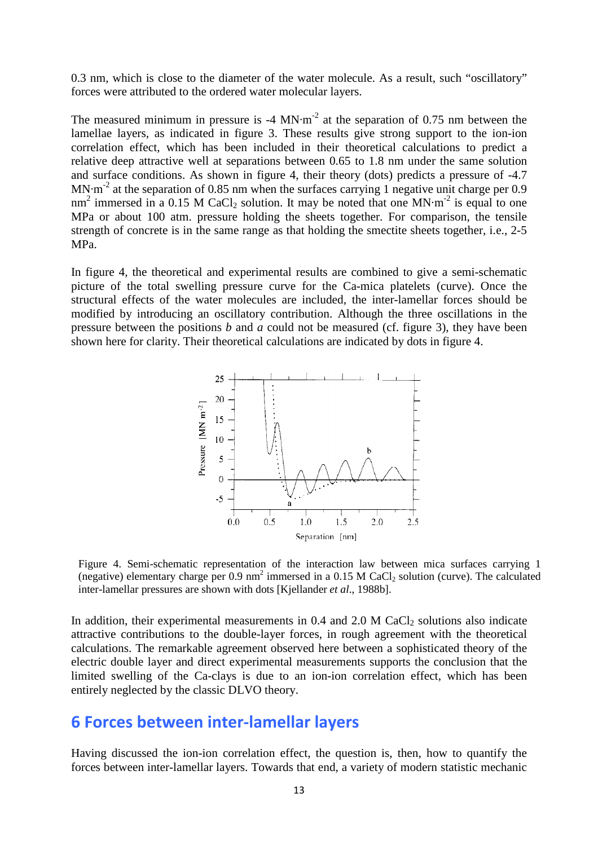0.3 nm, which is close to the diameter of the water molecule. As a result, such "oscillatory" forces were attributed to the ordered water molecular layers.

The measured minimum in pressure is  $-4$  MN $\cdot$ m $^{-2}$  at the separation of 0.75 nm between the lamellae layers, as indicated in figure 3. These results give strong support to the ion-ion correlation effect, which has been included in their theoretical calculations to predict a relative deep attractive well at separations between 0.65 to 1.8 nm under the same solution and surface conditions. As shown in figure 4, their theory (dots) predicts a pressure of -4.7  $MN \cdot m^{-2}$  at the separation of 0.85 nm when the surfaces carrying 1 negative unit charge per 0.9 nm<sup>2</sup> immersed in a 0.15 M CaCl<sub>2</sub> solution. It may be noted that one MN·m<sup>-2</sup> is equal to one MPa or about 100 atm. pressure holding the sheets together. For comparison, the tensile strength of concrete is in the same range as that holding the smectite sheets together, i.e., 2-5 MPa.

In figure 4, the theoretical and experimental results are combined to give a semi-schematic picture of the total swelling pressure curve for the Ca-mica platelets (curve). Once the structural effects of the water molecules are included, the inter-lamellar forces should be modified by introducing an oscillatory contribution. Although the three oscillations in the pressure between the positions *b* and *a* could not be measured (cf. figure 3), they have been shown here for clarity. Their theoretical calculations are indicated by dots in figure 4.



Figure 4. Semi-schematic representation of the interaction law between mica surfaces carrying 1 (negative) elementary charge per  $0.9 \text{ nm}^2$  immersed in a  $0.15 \text{ M }$  CaCl<sub>2</sub> solution (curve). The calculated inter-lamellar pressures are shown with dots [Kjellander *et al*., 1988b].

In addition, their experimental measurements in  $0.4$  and  $2.0$  M CaCl<sub>2</sub> solutions also indicate attractive contributions to the double-layer forces, in rough agreement with the theoretical calculations. The remarkable agreement observed here between a sophisticated theory of the electric double layer and direct experimental measurements supports the conclusion that the limited swelling of the Ca-clays is due to an ion-ion correlation effect, which has been entirely neglected by the classic DLVO theory.

### 6 Forces between inter-lamellar layers

Having discussed the ion-ion correlation effect, the question is, then, how to quantify the forces between inter-lamellar layers. Towards that end, a variety of modern statistic mechanic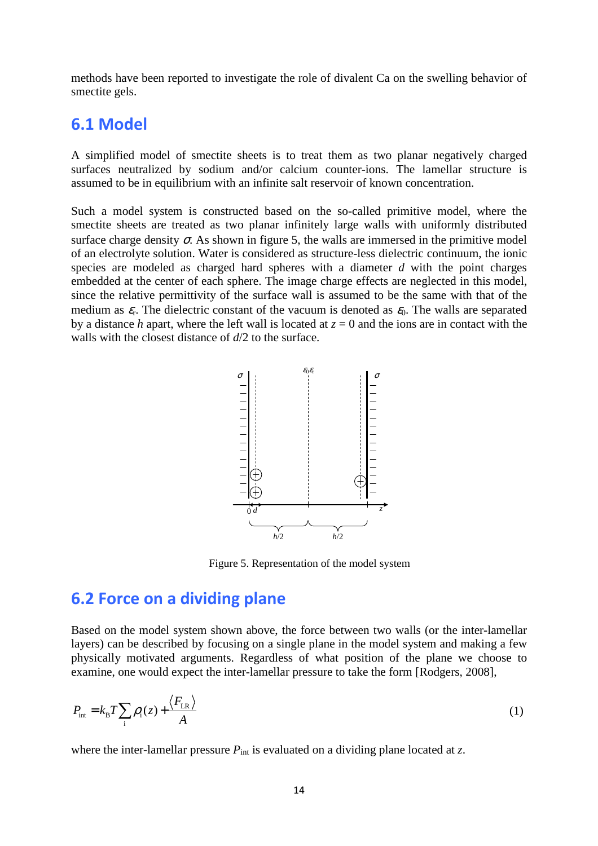methods have been reported to investigate the role of divalent Ca on the swelling behavior of smectite gels.

### 6.1 Model

A simplified model of smectite sheets is to treat them as two planar negatively charged surfaces neutralized by sodium and/or calcium counter-ions. The lamellar structure is assumed to be in equilibrium with an infinite salt reservoir of known concentration.

Such a model system is constructed based on the so-called primitive model, where the smectite sheets are treated as two planar infinitely large walls with uniformly distributed surface charge density  $\sigma$ . As shown in figure 5, the walls are immersed in the primitive model of an electrolyte solution. Water is considered as structure-less dielectric continuum, the ionic species are modeled as charged hard spheres with a diameter *d* with the point charges embedded at the center of each sphere. The image charge effects are neglected in this model, since the relative permittivity of the surface wall is assumed to be the same with that of the medium as  $\varepsilon_r$ . The dielectric constant of the vacuum is denoted as  $\varepsilon_0$ . The walls are separated by a distance *h* apart, where the left wall is located at  $z = 0$  and the ions are in contact with the walls with the closest distance of *d*/2 to the surface.



Figure 5. Representation of the model system

### 6.2 Force on a dividing plane

Based on the model system shown above, the force between two walls (or the inter-lamellar layers) can be described by focusing on a single plane in the model system and making a few physically motivated arguments. Regardless of what position of the plane we choose to examine, one would expect the inter-lamellar pressure to take the form [Rodgers, 2008],

$$
P_{\text{int}} = k_{\text{B}} T \sum_{i} \rho_{i}(z) + \frac{\langle F_{\text{LR}} \rangle}{A}
$$
 (1)

where the inter-lamellar pressure  $P_{\text{int}}$  is evaluated on a dividing plane located at *z*.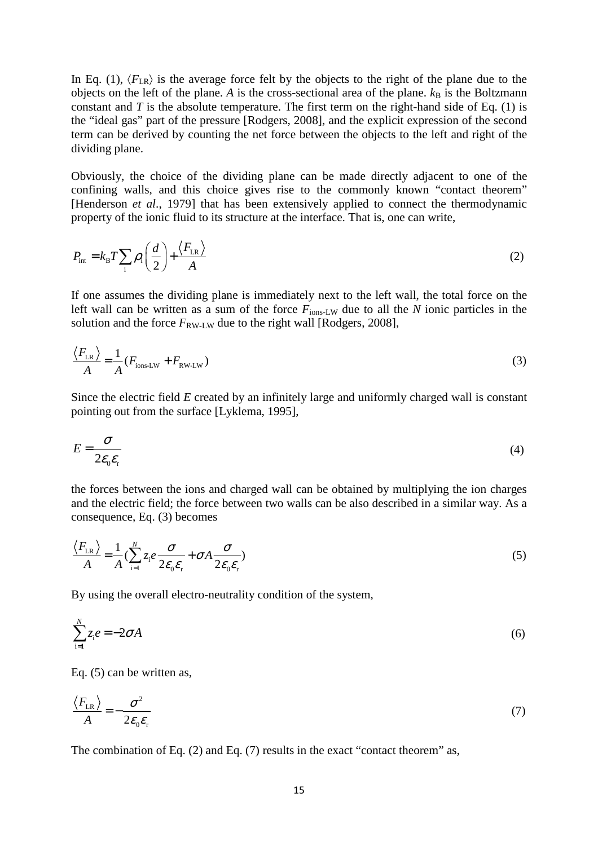In Eq. (1),  $\langle F_{LR} \rangle$  is the average force felt by the objects to the right of the plane due to the objects on the left of the plane. A is the cross-sectional area of the plane.  $k_B$  is the Boltzmann constant and *T* is the absolute temperature. The first term on the right-hand side of Eq. (1) is the "ideal gas" part of the pressure [Rodgers, 2008], and the explicit expression of the second term can be derived by counting the net force between the objects to the left and right of the dividing plane.

Obviously, the choice of the dividing plane can be made directly adjacent to one of the confining walls, and this choice gives rise to the commonly known "contact theorem" [Henderson *et al*., 1979] that has been extensively applied to connect the thermodynamic property of the ionic fluid to its structure at the interface. That is, one can write,

$$
P_{\text{int}} = k_{\text{B}} T \sum_{i} \rho_{i} \left( \frac{d}{2} \right) + \frac{\langle F_{\text{LR}} \rangle}{A}
$$
 (2)

If one assumes the dividing plane is immediately next to the left wall, the total force on the left wall can be written as a sum of the force  $F_{\text{ions-LW}}$  due to all the *N* ionic particles in the solution and the force  $F_{\text{RW-LW}}$  due to the right wall [Rodgers, 2008],

$$
\frac{\langle F_{LR} \rangle}{A} = \frac{1}{A} (F_{\text{ions-LW}} + F_{\text{RW-LW}})
$$
\n(3)

Since the electric field *E* created by an infinitely large and uniformly charged wall is constant pointing out from the surface [Lyklema, 1995],

$$
E = \frac{\sigma}{2\varepsilon_0 \varepsilon_{\rm r}}\tag{4}
$$

the forces between the ions and charged wall can be obtained by multiplying the ion charges and the electric field; the force between two walls can be also described in a similar way. As a consequence, Eq. (3) becomes

$$
\frac{\langle F_{LR} \rangle}{A} = \frac{1}{A} (\sum_{i=1}^{N} z_i e \frac{\sigma}{2\varepsilon_0 \varepsilon_r} + \sigma A \frac{\sigma}{2\varepsilon_0 \varepsilon_r})
$$
(5)

By using the overall electro-neutrality condition of the system,

$$
\sum_{i=1}^{N} z_i e = -2\sigma A \tag{6}
$$

Eq. (5) can be written as,

$$
\frac{\langle F_{LR} \rangle}{A} = -\frac{\sigma^2}{2\varepsilon_0 \varepsilon_{\rm r}}\tag{7}
$$

The combination of Eq.  $(2)$  and Eq.  $(7)$  results in the exact "contact theorem" as,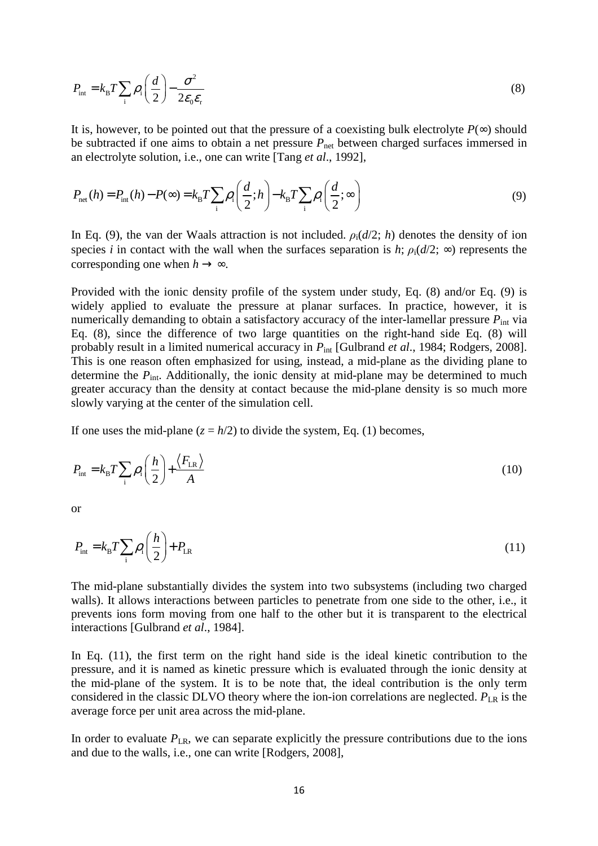$$
P_{\text{int}} = k_{\text{B}} T \sum_{i} \rho_{i} \left( \frac{d}{2} \right) - \frac{\sigma^{2}}{2 \varepsilon_{0} \varepsilon_{\text{r}}} \tag{8}
$$

It is, however, to be pointed out that the pressure of a coexisting bulk electrolyte  $P(\infty)$  should be subtracted if one aims to obtain a net pressure  $P_{\text{net}}$  between charged surfaces immersed in an electrolyte solution, i.e., one can write [Tang *et al*., 1992],

$$
P_{\text{net}}(h) = P_{\text{int}}(h) - P(\infty) = k_{\text{B}}T \sum_{i} \rho_{i} \left(\frac{d}{2}; h\right) - k_{\text{B}}T \sum_{i} \rho_{i} \left(\frac{d}{2}; \infty\right)
$$
\n(9)

In Eq. (9), the van der Waals attraction is not included.  $\rho_i(d/2; h)$  denotes the density of ion species *i* in contact with the wall when the surfaces separation is *h*;  $\rho_i(d/2; \infty)$  represents the corresponding one when  $h \rightarrow \infty$ .

Provided with the ionic density profile of the system under study, Eq. (8) and/or Eq. (9) is widely applied to evaluate the pressure at planar surfaces. In practice, however, it is numerically demanding to obtain a satisfactory accuracy of the inter-lamellar pressure  $P_{int}$  via Eq. (8), since the difference of two large quantities on the right-hand side Eq. (8) will probably result in a limited numerical accuracy in  $P_{int}$  [Gulbrand *et al.*, 1984; Rodgers, 2008]. This is one reason often emphasized for using, instead, a mid-plane as the dividing plane to determine the  $P_{\text{int}}$ . Additionally, the ionic density at mid-plane may be determined to much greater accuracy than the density at contact because the mid-plane density is so much more slowly varying at the center of the simulation cell.

If one uses the mid-plane  $(z = h/2)$  to divide the system, Eq. (1) becomes,

$$
P_{\text{int}} = k_{\text{B}} T \sum_{i} \rho_{i} \left( \frac{h}{2} \right) + \frac{\langle F_{\text{LR}} \rangle}{A} \tag{10}
$$

or

$$
P_{\text{int}} = k_{\text{B}} T \sum_{i} \rho_{i} \left( \frac{h}{2} \right) + P_{\text{LR}} \tag{11}
$$

The mid-plane substantially divides the system into two subsystems (including two charged walls). It allows interactions between particles to penetrate from one side to the other, i.e., it prevents ions form moving from one half to the other but it is transparent to the electrical interactions [Gulbrand *et al*., 1984].

In Eq. (11), the first term on the right hand side is the ideal kinetic contribution to the pressure, and it is named as kinetic pressure which is evaluated through the ionic density at the mid-plane of the system. It is to be note that, the ideal contribution is the only term considered in the classic DLVO theory where the ion-ion correlations are neglected.  $P_{LR}$  is the average force per unit area across the mid-plane.

In order to evaluate  $P_{LR}$ , we can separate explicitly the pressure contributions due to the ions and due to the walls, i.e., one can write [Rodgers, 2008],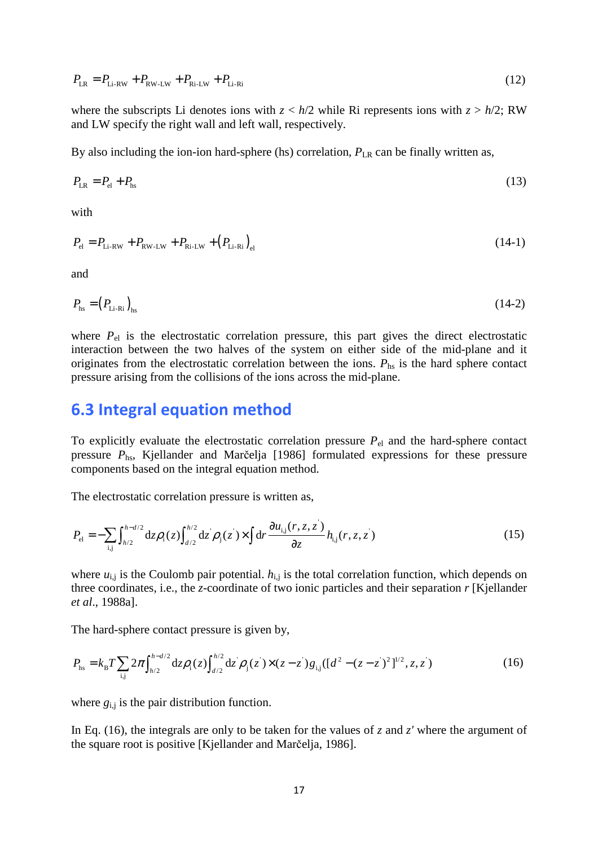$$
P_{LR} = P_{Li-RW} + P_{RW-LW} + P_{Ri-LW} + P_{Li-Ri}
$$
\n(12)

where the subscripts Li denotes ions with  $z < h/2$  while Ri represents ions with  $z > h/2$ ; RW and LW specify the right wall and left wall, respectively.

By also including the ion-ion hard-sphere (hs) correlation,  $P_{LR}$  can be finally written as,

$$
P_{LR} = P_{el} + P_{hs} \tag{13}
$$

with

$$
P_{\rm el} = P_{\rm Li-RW} + P_{\rm RW-LW} + P_{\rm Ri-LW} + (P_{\rm Li-Ri})_{\rm el}
$$
\n(14-1)

and

$$
P_{\text{hs}} = \left(P_{\text{Li-Ri}}\right)_{\text{hs}}\tag{14-2}
$$

where  $P_{el}$  is the electrostatic correlation pressure, this part gives the direct electrostatic interaction between the two halves of the system on either side of the mid-plane and it originates from the electrostatic correlation between the ions. *P*hs is the hard sphere contact pressure arising from the collisions of the ions across the mid-plane.

### 6.3 Integral equation method

To explicitly evaluate the electrostatic correlation pressure *P*el and the hard-sphere contact pressure *P*hs, Kjellander and Marčelja [1986] formulated expressions for these pressure components based on the integral equation method.

The electrostatic correlation pressure is written as,

$$
P_{\rm el} = -\sum_{\rm i,j} \int_{h/2}^{h-d/2} dz \rho_{\rm i}(z) \int_{d/2}^{h/2} dz \rho_{\rm j}(z) \times \int dr \frac{\partial u_{\rm i,j}(r,z,z)}{\partial z} h_{\rm i,j}(r,z,z) \tag{15}
$$

where  $u_{i,j}$  is the Coulomb pair potential.  $h_{i,j}$  is the total correlation function, which depends on three coordinates, i.e., the *z*-coordinate of two ionic particles and their separation *r* [Kjellander *et al*., 1988a].

The hard-sphere contact pressure is given by,

$$
P_{\text{hs}} = k_{\text{B}} T \sum_{i,j} 2\pi \int_{h/2}^{h-d/2} dz \rho_i(z) \int_{d/2}^{h/2} dz \rho_j(z) \times (z - z) g_{i,j} ( [d^2 - (z - z)^2]^{1/2}, z, z) \tag{16}
$$

where *g*i,j is the pair distribution function.

In Eq. (16), the integrals are only to be taken for the values of *z* and *z'* where the argument of the square root is positive [Kjellander and Marčelja, 1986].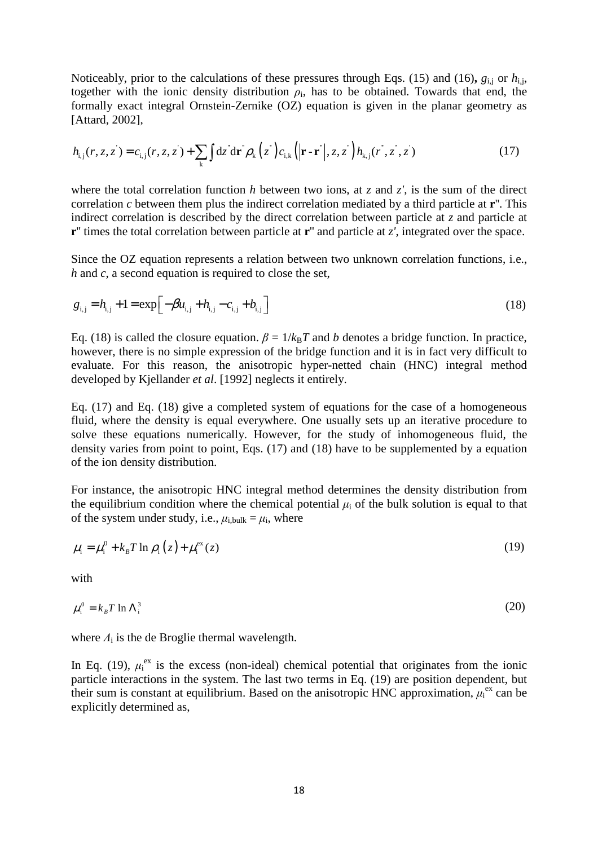Noticeably, prior to the calculations of these pressures through Eqs. (15) and (16),  $g_{i,j}$  or  $h_{i,j}$ , together with the ionic density distribution  $\rho_i$ , has to be obtained. Towards that end, the formally exact integral Ornstein-Zernike (OZ) equation is given in the planar geometry as [Attard, 2002],

$$
h_{i,j}(r, z, z^{\prime}) = c_{i,j}(r, z, z^{\prime}) + \sum_{k} \int dz^{\prime} d\mathbf{r}^{\prime} \rho_{k}(z^{\prime}) c_{i,k}(|\mathbf{r} - \mathbf{r}^{\prime}|, z, z^{\prime}) h_{k,j}(r^{\prime}, z^{\prime}, z^{\prime})
$$
(17)

where the total correlation function *h* between two ions, at *z* and *z'*, is the sum of the direct correlation *c* between them plus the indirect correlation mediated by a third particle at **r**''. This indirect correlation is described by the direct correlation between particle at *z* and particle at **r**'' times the total correlation between particle at **r**'' and particle at *z'*, integrated over the space.

Since the OZ equation represents a relation between two unknown correlation functions, i.e., *h* and *c*, a second equation is required to close the set,

$$
g_{i,j} = h_{i,j} + 1 = \exp\left[-\beta u_{i,j} + h_{i,j} - c_{i,j} + b_{i,j}\right]
$$
\n(18)

Eq. (18) is called the closure equation.  $\beta = 1/k_B T$  and *b* denotes a bridge function. In practice, however, there is no simple expression of the bridge function and it is in fact very difficult to evaluate. For this reason, the anisotropic hyper-netted chain (HNC) integral method developed by Kjellander *et al*. [1992] neglects it entirely.

Eq. (17) and Eq. (18) give a completed system of equations for the case of a homogeneous fluid, where the density is equal everywhere. One usually sets up an iterative procedure to solve these equations numerically. However, for the study of inhomogeneous fluid, the density varies from point to point, Eqs. (17) and (18) have to be supplemented by a equation of the ion density distribution.

For instance, the anisotropic HNC integral method determines the density distribution from the equilibrium condition where the chemical potential  $\mu_i$  of the bulk solution is equal to that of the system under study, i.e.,  $\mu_{i,bulk} = \mu_i$ , where

$$
\mu_{i} = \mu_{i}^{0} + k_{B} T \ln \rho_{i} (z) + \mu_{i}^{\text{ex}}(z)
$$
\n(19)

with

$$
\mu_i^0 = k_B T \ln \Lambda_i^3 \tag{20}
$$

where  $\Lambda_i$  is the de Broglie thermal wavelength.

In Eq. (19),  $\mu_i^{ex}$  is the excess (non-ideal) chemical potential that originates from the ionic particle interactions in the system. The last two terms in Eq. (19) are position dependent, but their sum is constant at equilibrium. Based on the anisotropic HNC approximation,  $\mu_i^{ex}$  can be explicitly determined as,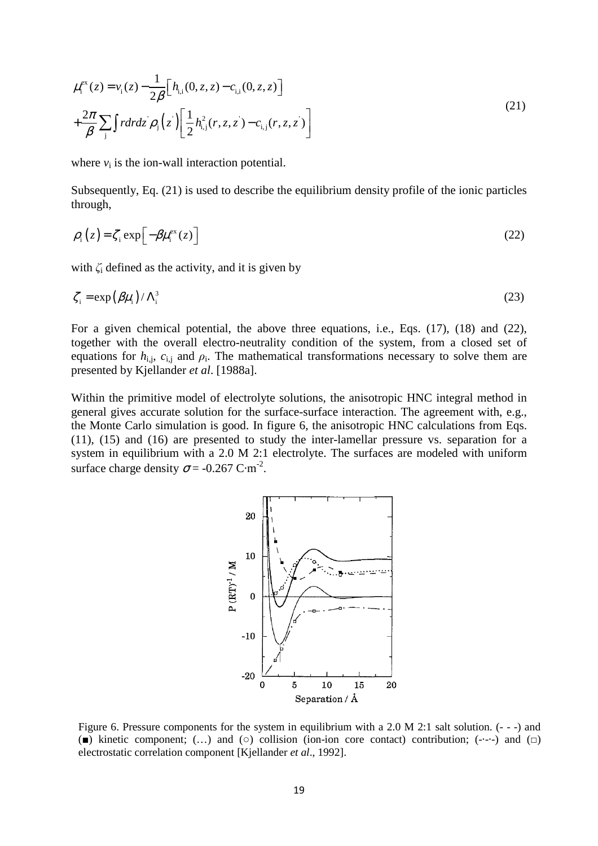$$
\mu_{i}^{ex}(z) = v_{i}(z) - \frac{1}{2\beta} \Big[ h_{i,i}(0, z, z) - c_{i,i}(0, z, z) \Big] + \frac{2\pi}{\beta} \sum_{j} \int r dr dz \, \rho_{j}(z') \Big[ \frac{1}{2} h_{i,j}^{2}(r, z, z') - c_{i,j}(r, z, z') \Big]
$$
\n(21)

where  $v_i$  is the ion-wall interaction potential.

Subsequently, Eq. (21) is used to describe the equilibrium density profile of the ionic particles through,

$$
\rho_{i}(z) = \zeta_{i} \exp\left[-\beta \mu_{i}^{\text{ex}}(z)\right] \tag{22}
$$

with  $\zeta$  defined as the activity, and it is given by

$$
\zeta_i = \exp\left(\beta \mu_i\right) / \Lambda_i^3 \tag{23}
$$

For a given chemical potential, the above three equations, i.e., Eqs. (17), (18) and (22), together with the overall electro-neutrality condition of the system, from a closed set of equations for  $h_{i,j}$ ,  $c_{i,j}$  and  $\rho_i$ . The mathematical transformations necessary to solve them are presented by Kjellander *et al*. [1988a].

Within the primitive model of electrolyte solutions, the anisotropic HNC integral method in general gives accurate solution for the surface-surface interaction. The agreement with, e.g., the Monte Carlo simulation is good. In figure 6, the anisotropic HNC calculations from Eqs. (11), (15) and (16) are presented to study the inter-lamellar pressure vs. separation for a system in equilibrium with a 2.0 M 2:1 electrolyte. The surfaces are modeled with uniform surface charge density  $\sigma$  = -0.267 C·m<sup>-2</sup>.



Figure 6. Pressure components for the system in equilibrium with a 2.0 M 2:1 salt solution. (- - -) and ( $\blacksquare$ ) kinetic component; (...) and ( $\circ$ ) collision (ion-ion core contact) contribution; (----) and ( $\Box$ ) electrostatic correlation component [Kjellander *et al*., 1992].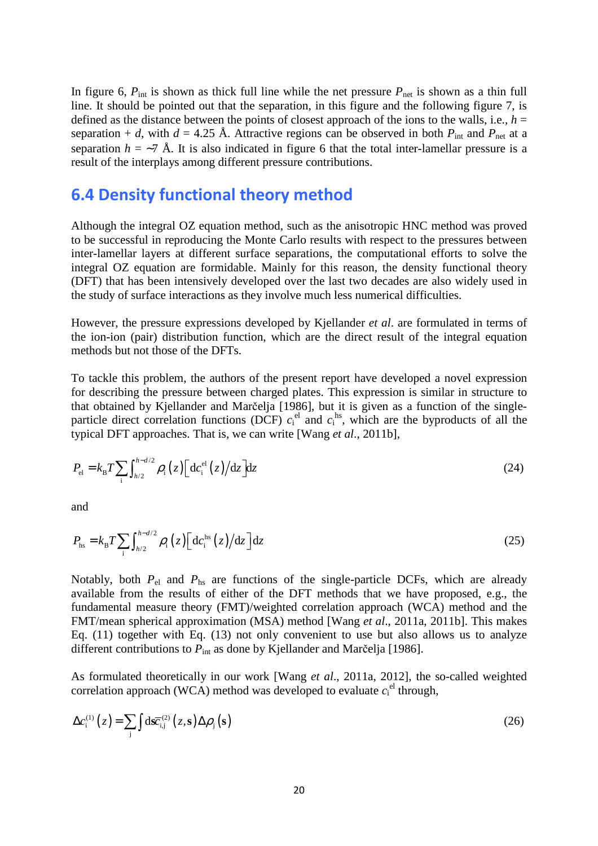In figure 6,  $P_{\text{int}}$  is shown as thick full line while the net pressure  $P_{\text{net}}$  is shown as a thin full line. It should be pointed out that the separation, in this figure and the following figure 7, is defined as the distance between the points of closest approach of the ions to the walls, i.e.,  $h =$ separation + *d*, with *d* = 4.25 Å. Attractive regions can be observed in both  $P_{\text{int}}$  and  $P_{\text{net}}$  at a separation  $h = \sim 7$  Å. It is also indicated in figure 6 that the total inter-lamellar pressure is a result of the interplays among different pressure contributions.

### 6.4 Density functional theory method

Although the integral OZ equation method, such as the anisotropic HNC method was proved to be successful in reproducing the Monte Carlo results with respect to the pressures between inter-lamellar layers at different surface separations, the computational efforts to solve the integral OZ equation are formidable. Mainly for this reason, the density functional theory (DFT) that has been intensively developed over the last two decades are also widely used in the study of surface interactions as they involve much less numerical difficulties.

However, the pressure expressions developed by Kjellander *et al*. are formulated in terms of the ion-ion (pair) distribution function, which are the direct result of the integral equation methods but not those of the DFTs.

To tackle this problem, the authors of the present report have developed a novel expression for describing the pressure between charged plates. This expression is similar in structure to that obtained by Kjellander and Marčelja [1986], but it is given as a function of the singleparticle direct correlation functions (DCF)  $c_i^{\text{el}}$  and  $c_i^{\text{hs}}$ , which are the byproducts of all the typical DFT approaches. That is, we can write [Wang *et al*., 2011b],

$$
P_{\rm el} = k_{\rm B} T \sum_{\rm i} \int_{h/2}^{h-d/2} \rho_{\rm i} (z) \left[ \, \mathrm{d} c_{\rm i}^{\rm el} (z) \, / \mathrm{d} z \, \right] \mathrm{d} z \tag{24}
$$

and

$$
P_{\text{hs}} = k_{\text{B}} T \sum_{i} \int_{h/2}^{h-d/2} \rho_i(z) \left[ \frac{\mathrm{d}c_i^{\text{hs}}(z)}{\mathrm{d}z} \right] \mathrm{d}z \tag{25}
$$

Notably, both  $P_{el}$  and  $P_{hs}$  are functions of the single-particle DCFs, which are already available from the results of either of the DFT methods that we have proposed, e.g., the fundamental measure theory (FMT)/weighted correlation approach (WCA) method and the FMT/mean spherical approximation (MSA) method [Wang *et al*., 2011a, 2011b]. This makes Eq. (11) together with Eq. (13) not only convenient to use but also allows us to analyze different contributions to  $P_{int}$  as done by Kjellander and Marčelja [1986].

As formulated theoretically in our work [Wang *et al*., 2011a, 2012], the so-called weighted correlation approach (WCA) method was developed to evaluate  $c_i^{\text{el}}$  through,

$$
\Delta c_i^{(1)}(z) = \sum_j \int d\vec{\mathbf{x}}_{i,j}^{(2)}(z,\mathbf{s}) \Delta \rho_j(\mathbf{s})
$$
\n(26)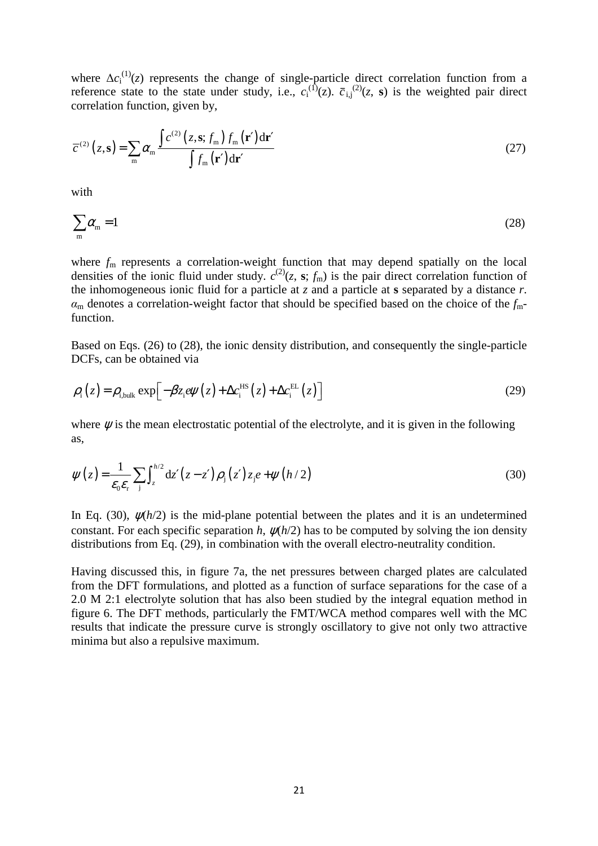where  $\Delta c_i^{(1)}(z)$  represents the change of single-particle direct correlation function from a reference state to the state under study, i.e.,  $c_i^{(1)}(z)$ .  $\bar{c}_{i,j}^{(2)}(z, s)$  is the weighted pair direct correlation function, given by,

$$
\overline{c}^{(2)}(z,\mathbf{s}) = \sum_{\mathbf{m}} \alpha_{\mathbf{m}} \frac{\int c^{(2)}(z,\mathbf{s};f_{\mathbf{m}}) f_{\mathbf{m}}(\mathbf{r}') d\mathbf{r}'}{\int f_{\mathbf{m}}(\mathbf{r}') d\mathbf{r}'} \tag{27}
$$

with

$$
\sum_{m} \alpha_{m} = 1 \tag{28}
$$

where  $f_m$  represents a correlation-weight function that may depend spatially on the local densities of the ionic fluid under study.  $c^{(2)}(z, s; f_m)$  is the pair direct correlation function of the inhomogeneous ionic fluid for a particle at *z* and a particle at **s** separated by a distance *r*.  $\alpha_m$  denotes a correlation-weight factor that should be specified based on the choice of the  $f_m$ function.

Based on Eqs. (26) to (28), the ionic density distribution, and consequently the single-particle DCFs, can be obtained via

$$
\rho_{i}(z) = \rho_{i,\text{bulk}} \exp\left[-\beta z_{i} e \psi(z) + \Delta c_{i}^{\text{HS}}(z) + \Delta c_{i}^{\text{EL}}(z)\right]
$$
(29)

where  $\psi$  is the mean electrostatic potential of the electrolyte, and it is given in the following as,

$$
\psi(z) = \frac{1}{\varepsilon_0 \varepsilon_r} \sum_{j} \int_z^{h/2} dz' (z - z') \rho_j(z') z_j e + \psi(h/2)
$$
\n(30)

In Eq. (30),  $\psi(h/2)$  is the mid-plane potential between the plates and it is an undetermined constant. For each specific separation  $h$ ,  $\psi(h/2)$  has to be computed by solving the ion density distributions from Eq. (29), in combination with the overall electro-neutrality condition.

Having discussed this, in figure 7a, the net pressures between charged plates are calculated from the DFT formulations, and plotted as a function of surface separations for the case of a 2.0 M 2:1 electrolyte solution that has also been studied by the integral equation method in figure 6. The DFT methods, particularly the FMT/WCA method compares well with the MC results that indicate the pressure curve is strongly oscillatory to give not only two attractive minima but also a repulsive maximum.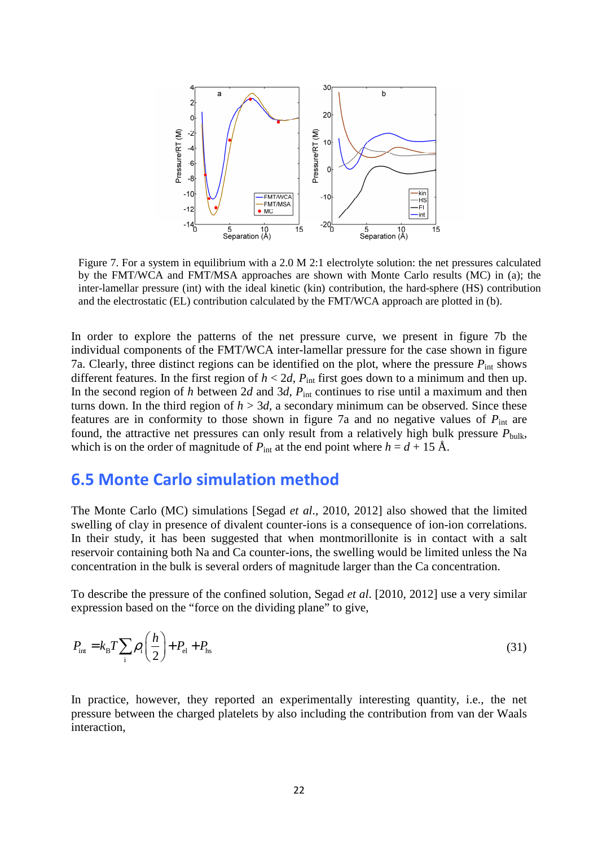

Figure 7. For a system in equilibrium with a 2.0 M 2:1 electrolyte solution: the net pressures calculated by the FMT/WCA and FMT/MSA approaches are shown with Monte Carlo results (MC) in (a); the inter-lamellar pressure (int) with the ideal kinetic (kin) contribution, the hard-sphere (HS) contribution and the electrostatic (EL) contribution calculated by the FMT/WCA approach are plotted in (b).

In order to explore the patterns of the net pressure curve, we present in figure 7b the individual components of the FMT/WCA inter-lamellar pressure for the case shown in figure 7a. Clearly, three distinct regions can be identified on the plot, where the pressure  $P_{int}$  shows different features. In the first region of  $h < 2d$ ,  $P_{int}$  first goes down to a minimum and then up. In the second region of *h* between 2*d* and 3*d*,  $P_{int}$  continues to rise until a maximum and then turns down. In the third region of  $h > 3d$ , a secondary minimum can be observed. Since these features are in conformity to those shown in figure 7a and no negative values of *P*int are found, the attractive net pressures can only result from a relatively high bulk pressure  $P_{\text{bulk}}$ , which is on the order of magnitude of  $P_{int}$  at the end point where  $h = d + 15 \text{ Å}$ .

### 6.5 Monte Carlo simulation method

The Monte Carlo (MC) simulations [Segad *et al*., 2010, 2012] also showed that the limited swelling of clay in presence of divalent counter-ions is a consequence of ion-ion correlations. In their study, it has been suggested that when montmorillonite is in contact with a salt reservoir containing both Na and Ca counter-ions, the swelling would be limited unless the Na concentration in the bulk is several orders of magnitude larger than the Ca concentration.

To describe the pressure of the confined solution, Segad *et al*. [2010, 2012] use a very similar expression based on the "force on the dividing plane" to give,

$$
P_{\text{int}} = k_{\text{B}} T \sum_{i} \rho_{i} \left( \frac{h}{2} \right) + P_{\text{el}} + P_{\text{hs}} \tag{31}
$$

In practice, however, they reported an experimentally interesting quantity, i.e., the net pressure between the charged platelets by also including the contribution from van der Waals interaction,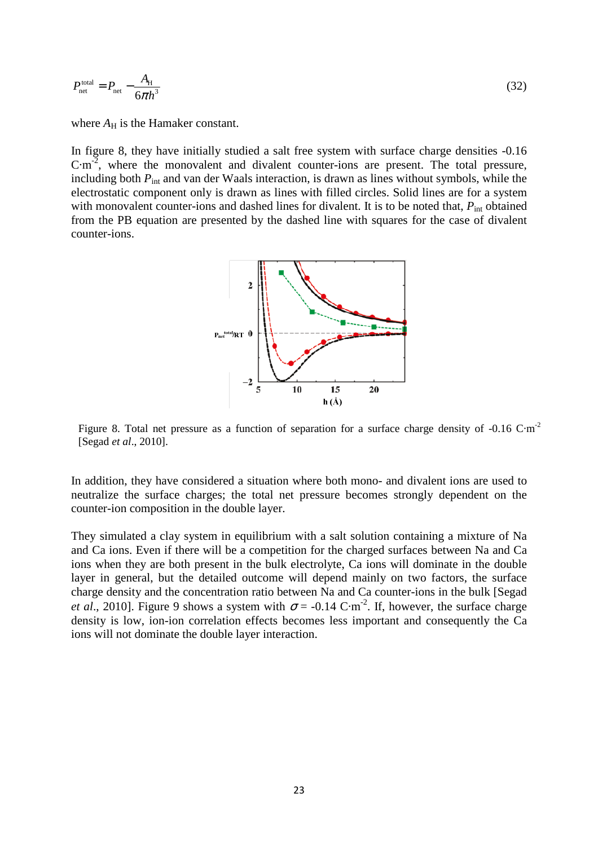$$
P_{\text{net}}^{\text{total}} = P_{\text{net}} - \frac{A_{\text{H}}}{6\pi h^3} \tag{32}
$$

where  $A_H$  is the Hamaker constant.

In figure 8, they have initially studied a salt free system with surface charge densities -0.16 C·m<sup>-2</sup>, where the monovalent and divalent counter-ions are present. The total pressure, including both  $P_{\text{int}}$  and van der Waals interaction, is drawn as lines without symbols, while the electrostatic component only is drawn as lines with filled circles. Solid lines are for a system with monovalent counter-ions and dashed lines for divalent. It is to be noted that,  $P_{int}$  obtained from the PB equation are presented by the dashed line with squares for the case of divalent counter-ions.



Figure 8. Total net pressure as a function of separation for a surface charge density of -0.16 C·m<sup>-2</sup> [Segad *et al*., 2010].

In addition, they have considered a situation where both mono- and divalent ions are used to neutralize the surface charges; the total net pressure becomes strongly dependent on the counter-ion composition in the double layer.

They simulated a clay system in equilibrium with a salt solution containing a mixture of Na and Ca ions. Even if there will be a competition for the charged surfaces between Na and Ca ions when they are both present in the bulk electrolyte, Ca ions will dominate in the double layer in general, but the detailed outcome will depend mainly on two factors, the surface charge density and the concentration ratio between Na and Ca counter-ions in the bulk [Segad *et al.*, 2010]. Figure 9 shows a system with  $\sigma$  = -0.14 C·m<sup>-2</sup>. If, however, the surface charge density is low, ion-ion correlation effects becomes less important and consequently the Ca ions will not dominate the double layer interaction.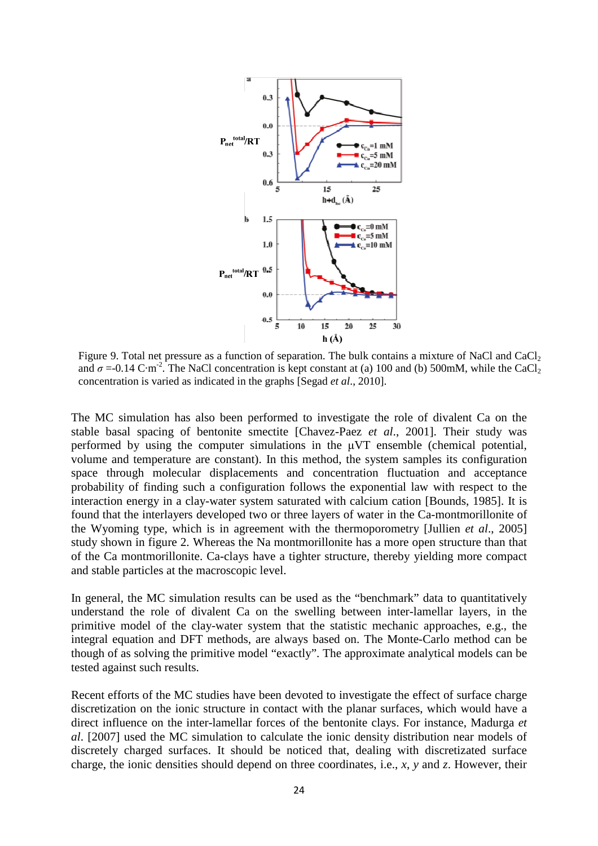

Figure 9. Total net pressure as a function of separation. The bulk contains a mixture of NaCl and CaCl<sub>2</sub> and  $\sigma = 0.14 \text{ C} \cdot \text{m}^2$ . The NaCl concentration is kept constant at (a) 100 and (b) 500mM, while the CaCl<sub>2</sub> concentration is varied as indicated in the graphs [Segad *et al*., 2010].

The MC simulation has also been performed to investigate the role of divalent Ca on the stable basal spacing of bentonite smectite [Chavez-Paez *et al*., 2001]. Their study was performed by using the computer simulations in the µVT ensemble (chemical potential, volume and temperature are constant). In this method, the system samples its configuration space through molecular displacements and concentration fluctuation and acceptance probability of finding such a configuration follows the exponential law with respect to the interaction energy in a clay-water system saturated with calcium cation [Bounds, 1985]. It is found that the interlayers developed two or three layers of water in the Ca-montmorillonite of the Wyoming type, which is in agreement with the thermoporometry [Jullien *et al*., 2005] study shown in figure 2. Whereas the Na montmorillonite has a more open structure than that of the Ca montmorillonite. Ca-clays have a tighter structure, thereby yielding more compact and stable particles at the macroscopic level.

In general, the MC simulation results can be used as the "benchmark" data to quantitatively understand the role of divalent Ca on the swelling between inter-lamellar layers, in the primitive model of the clay-water system that the statistic mechanic approaches, e.g., the integral equation and DFT methods, are always based on. The Monte-Carlo method can be though of as solving the primitive model "exactly". The approximate analytical models can be tested against such results.

Recent efforts of the MC studies have been devoted to investigate the effect of surface charge discretization on the ionic structure in contact with the planar surfaces, which would have a direct influence on the inter-lamellar forces of the bentonite clays. For instance, Madurga *et al*. [2007] used the MC simulation to calculate the ionic density distribution near models of discretely charged surfaces. It should be noticed that, dealing with discretizated surface charge, the ionic densities should depend on three coordinates, i.e., *x*, *y* and *z*. However, their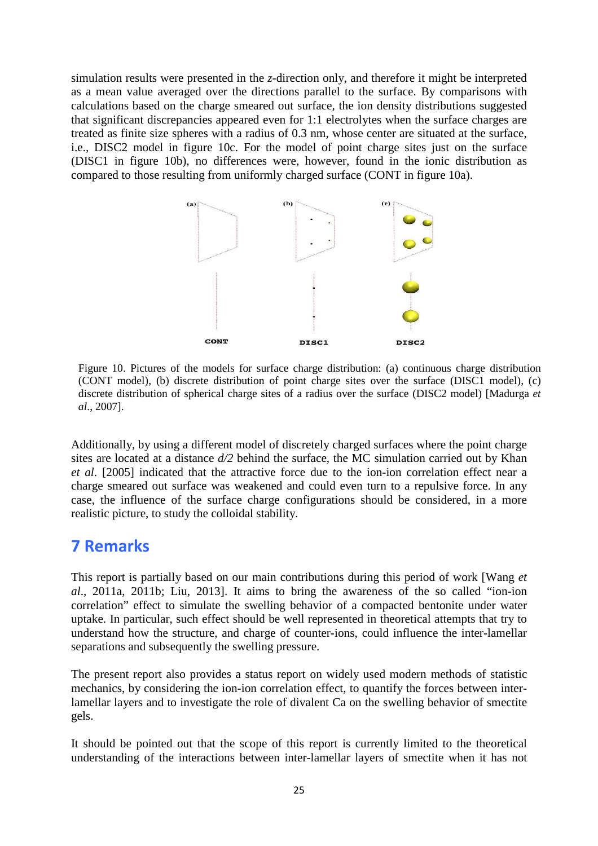simulation results were presented in the *z*-direction only, and therefore it might be interpreted as a mean value averaged over the directions parallel to the surface. By comparisons with calculations based on the charge smeared out surface, the ion density distributions suggested that significant discrepancies appeared even for 1:1 electrolytes when the surface charges are treated as finite size spheres with a radius of 0.3 nm, whose center are situated at the surface, i.e., DISC2 model in figure 10c. For the model of point charge sites just on the surface (DISC1 in figure 10b), no differences were, however, found in the ionic distribution as compared to those resulting from uniformly charged surface (CONT in figure 10a).



Figure 10. Pictures of the models for surface charge distribution: (a) continuous charge distribution (CONT model), (b) discrete distribution of point charge sites over the surface (DISC1 model), (c) discrete distribution of spherical charge sites of a radius over the surface (DISC2 model) [Madurga *et al*., 2007].

Additionally, by using a different model of discretely charged surfaces where the point charge sites are located at a distance *d/2* behind the surface, the MC simulation carried out by Khan *et al*. [2005] indicated that the attractive force due to the ion-ion correlation effect near a charge smeared out surface was weakened and could even turn to a repulsive force. In any case, the influence of the surface charge configurations should be considered, in a more realistic picture, to study the colloidal stability.

### 7 Remarks

This report is partially based on our main contributions during this period of work [Wang *et al*., 2011a, 2011b; Liu, 2013]. It aims to bring the awareness of the so called "ion-ion correlation" effect to simulate the swelling behavior of a compacted bentonite under water uptake. In particular, such effect should be well represented in theoretical attempts that try to understand how the structure, and charge of counter-ions, could influence the inter-lamellar separations and subsequently the swelling pressure.

The present report also provides a status report on widely used modern methods of statistic mechanics, by considering the ion-ion correlation effect, to quantify the forces between interlamellar layers and to investigate the role of divalent Ca on the swelling behavior of smectite gels.

It should be pointed out that the scope of this report is currently limited to the theoretical understanding of the interactions between inter-lamellar layers of smectite when it has not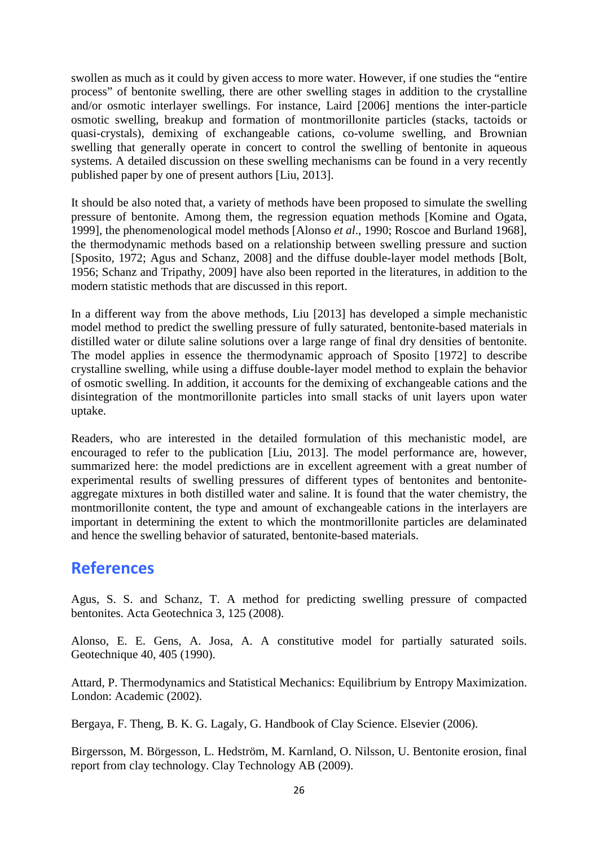swollen as much as it could by given access to more water. However, if one studies the "entire process" of bentonite swelling, there are other swelling stages in addition to the crystalline and/or osmotic interlayer swellings. For instance, Laird [2006] mentions the inter-particle osmotic swelling, breakup and formation of montmorillonite particles (stacks, tactoids or quasi-crystals), demixing of exchangeable cations, co-volume swelling, and Brownian swelling that generally operate in concert to control the swelling of bentonite in aqueous systems. A detailed discussion on these swelling mechanisms can be found in a very recently published paper by one of present authors [Liu, 2013].

It should be also noted that, a variety of methods have been proposed to simulate the swelling pressure of bentonite. Among them, the regression equation methods [Komine and Ogata, 1999], the phenomenological model methods [Alonso *et al*., 1990; Roscoe and Burland 1968], the thermodynamic methods based on a relationship between swelling pressure and suction [Sposito, 1972; Agus and Schanz, 2008] and the diffuse double-layer model methods [Bolt, 1956; Schanz and Tripathy, 2009] have also been reported in the literatures, in addition to the modern statistic methods that are discussed in this report.

In a different way from the above methods, Liu [2013] has developed a simple mechanistic model method to predict the swelling pressure of fully saturated, bentonite-based materials in distilled water or dilute saline solutions over a large range of final dry densities of bentonite. The model applies in essence the thermodynamic approach of Sposito [1972] to describe crystalline swelling, while using a diffuse double-layer model method to explain the behavior of osmotic swelling. In addition, it accounts for the demixing of exchangeable cations and the disintegration of the montmorillonite particles into small stacks of unit layers upon water uptake.

Readers, who are interested in the detailed formulation of this mechanistic model, are encouraged to refer to the publication [Liu, 2013]. The model performance are, however, summarized here: the model predictions are in excellent agreement with a great number of experimental results of swelling pressures of different types of bentonites and bentoniteaggregate mixtures in both distilled water and saline. It is found that the water chemistry, the montmorillonite content, the type and amount of exchangeable cations in the interlayers are important in determining the extent to which the montmorillonite particles are delaminated and hence the swelling behavior of saturated, bentonite-based materials.

### References

Agus, S. S. and Schanz, T. A method for predicting swelling pressure of compacted bentonites. Acta Geotechnica 3, 125 (2008).

Alonso, E. E. Gens, A. Josa, A. A constitutive model for partially saturated soils. Geotechnique 40, 405 (1990).

Attard, P. Thermodynamics and Statistical Mechanics: Equilibrium by Entropy Maximization. London: Academic (2002).

Bergaya, F. Theng, B. K. G. Lagaly, G. Handbook of Clay Science. Elsevier (2006).

Birgersson, M. Börgesson, L. Hedström, M. Karnland, O. Nilsson, U. Bentonite erosion, final report from clay technology. Clay Technology AB (2009).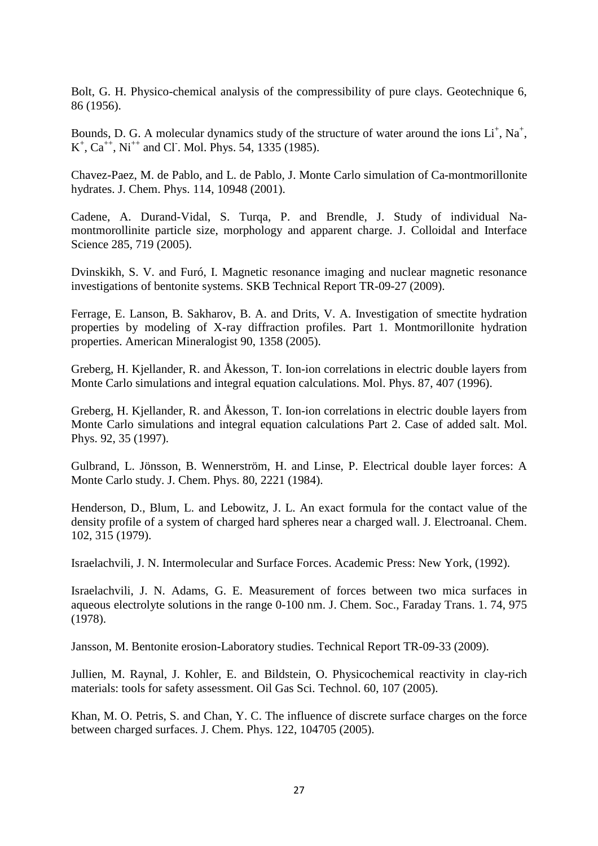Bolt, G. H. Physico-chemical analysis of the compressibility of pure clays. Geotechnique 6, 86 (1956).

Bounds, D. G. A molecular dynamics study of the structure of water around the ions  $Li^+$ , Na<sup>+</sup>,  $K^+$ ,  $Ca^{++}$ ,  $Ni^{++}$  and Cl. Mol. Phys. 54, 1335 (1985).

Chavez-Paez, M. de Pablo, and L. de Pablo, J. Monte Carlo simulation of Ca-montmorillonite hydrates. J. Chem. Phys. 114, 10948 (2001).

Cadene, A. Durand-Vidal, S. Turqa, P. and Brendle, J. Study of individual Namontmorollinite particle size, morphology and apparent charge. J. Colloidal and Interface Science 285, 719 (2005).

Dvinskikh, S. V. and Furó, I. Magnetic resonance imaging and nuclear magnetic resonance investigations of bentonite systems. SKB Technical Report TR-09-27 (2009).

Ferrage, E. Lanson, B. Sakharov, B. A. and Drits, V. A. Investigation of smectite hydration properties by modeling of X-ray diffraction profiles. Part 1. Montmorillonite hydration properties. American Mineralogist 90, 1358 (2005).

Greberg, H. Kjellander, R. and Åkesson, T. Ion-ion correlations in electric double layers from Monte Carlo simulations and integral equation calculations. Mol. Phys. 87, 407 (1996).

Greberg, H. Kjellander, R. and Åkesson, T. Ion-ion correlations in electric double layers from Monte Carlo simulations and integral equation calculations Part 2. Case of added salt. Mol. Phys. 92, 35 (1997).

Gulbrand, L. Jönsson, B. Wennerström, H. and Linse, P. Electrical double layer forces: A Monte Carlo study. J. Chem. Phys. 80, 2221 (1984).

Henderson, D., Blum, L. and Lebowitz, J. L. An exact formula for the contact value of the density profile of a system of charged hard spheres near a charged wall. J. Electroanal. Chem. 102, 315 (1979).

Israelachvili, J. N. Intermolecular and Surface Forces. Academic Press: New York, (1992).

Israelachvili, J. N. Adams, G. E. Measurement of forces between two mica surfaces in aqueous electrolyte solutions in the range 0-100 nm. J. Chem. Soc., Faraday Trans. 1. 74, 975 (1978).

Jansson, M. Bentonite erosion-Laboratory studies. Technical Report TR-09-33 (2009).

Jullien, M. Raynal, J. Kohler, E. and Bildstein, O. Physicochemical reactivity in clay-rich materials: tools for safety assessment. Oil Gas Sci. Technol. 60, 107 (2005).

Khan, M. O. Petris, S. and Chan, Y. C. The influence of discrete surface charges on the force between charged surfaces. J. Chem. Phys. 122, 104705 (2005).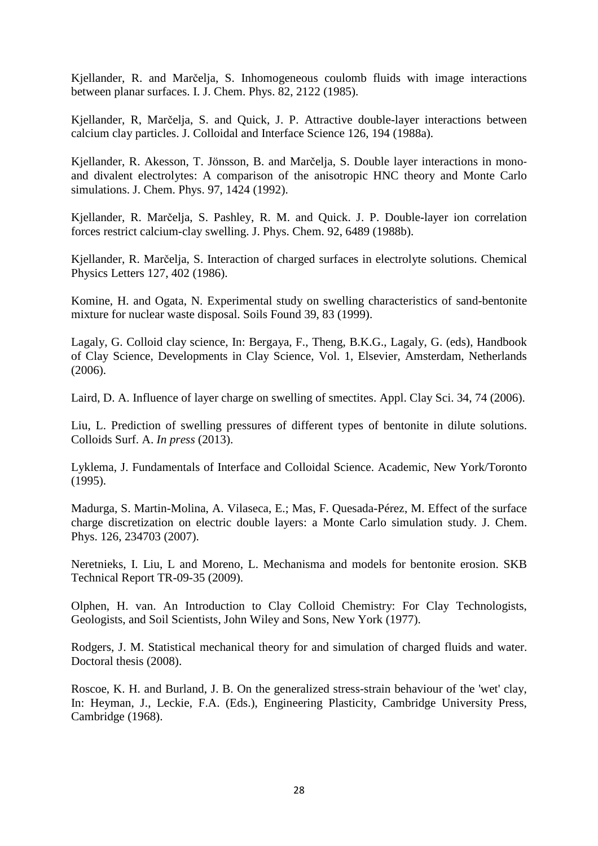Kjellander, R. and Marčelja, S. Inhomogeneous coulomb fluids with image interactions between planar surfaces. I. J. Chem. Phys. 82, 2122 (1985).

Kjellander, R, Marčelja, S. and Quick, J. P. Attractive double-layer interactions between calcium clay particles. J. Colloidal and Interface Science 126, 194 (1988a).

Kjellander, R. Akesson, T. Jönsson, B. and Marčelja, S. Double layer interactions in mono‐ and divalent electrolytes: A comparison of the anisotropic HNC theory and Monte Carlo simulations. J. Chem. Phys. 97, 1424 (1992).

Kjellander, R. Marčelja, S. Pashley, R. M. and Quick. J. P. Double-layer ion correlation forces restrict calcium-clay swelling. J. Phys. Chem. 92, 6489 (1988b).

Kjellander, R. Marčelja, S. Interaction of charged surfaces in electrolyte solutions. Chemical Physics Letters 127, 402 (1986).

Komine, H. and Ogata, N. Experimental study on swelling characteristics of sand-bentonite mixture for nuclear waste disposal. Soils Found 39, 83 (1999).

Lagaly, G. Colloid clay science, In: Bergaya, F., Theng, B.K.G., Lagaly, G. (eds), Handbook of Clay Science, Developments in Clay Science, Vol. 1, Elsevier, Amsterdam, Netherlands (2006).

Laird, D. A. Influence of layer charge on swelling of smectites. Appl. Clay Sci. 34, 74 (2006).

Liu, L. Prediction of swelling pressures of different types of bentonite in dilute solutions. Colloids Surf. A. *In press* (2013).

Lyklema, J. Fundamentals of Interface and Colloidal Science. Academic, New York/Toronto (1995).

Madurga, S. Martin-Molina, A. Vilaseca, E.; Mas, F. Quesada-Pérez, M. Effect of the surface charge discretization on electric double layers: a Monte Carlo simulation study. J. Chem. Phys. 126, 234703 (2007).

Neretnieks, I. Liu, L and Moreno, L. Mechanisma and models for bentonite erosion. SKB Technical Report TR-09-35 (2009).

Olphen, H. van. An Introduction to Clay Colloid Chemistry: For Clay Technologists, Geologists, and Soil Scientists, John Wiley and Sons, New York (1977).

Rodgers, J. M. Statistical mechanical theory for and simulation of charged fluids and water. Doctoral thesis (2008).

Roscoe, K. H. and Burland, J. B. On the generalized stress-strain behaviour of the 'wet' clay, In: Heyman, J., Leckie, F.A. (Eds.), Engineering Plasticity, Cambridge University Press, Cambridge (1968).